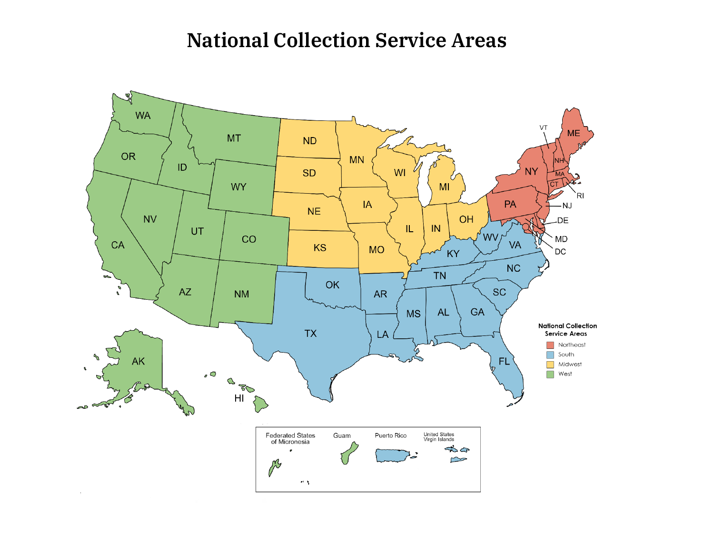## **National Collection Service Areas**